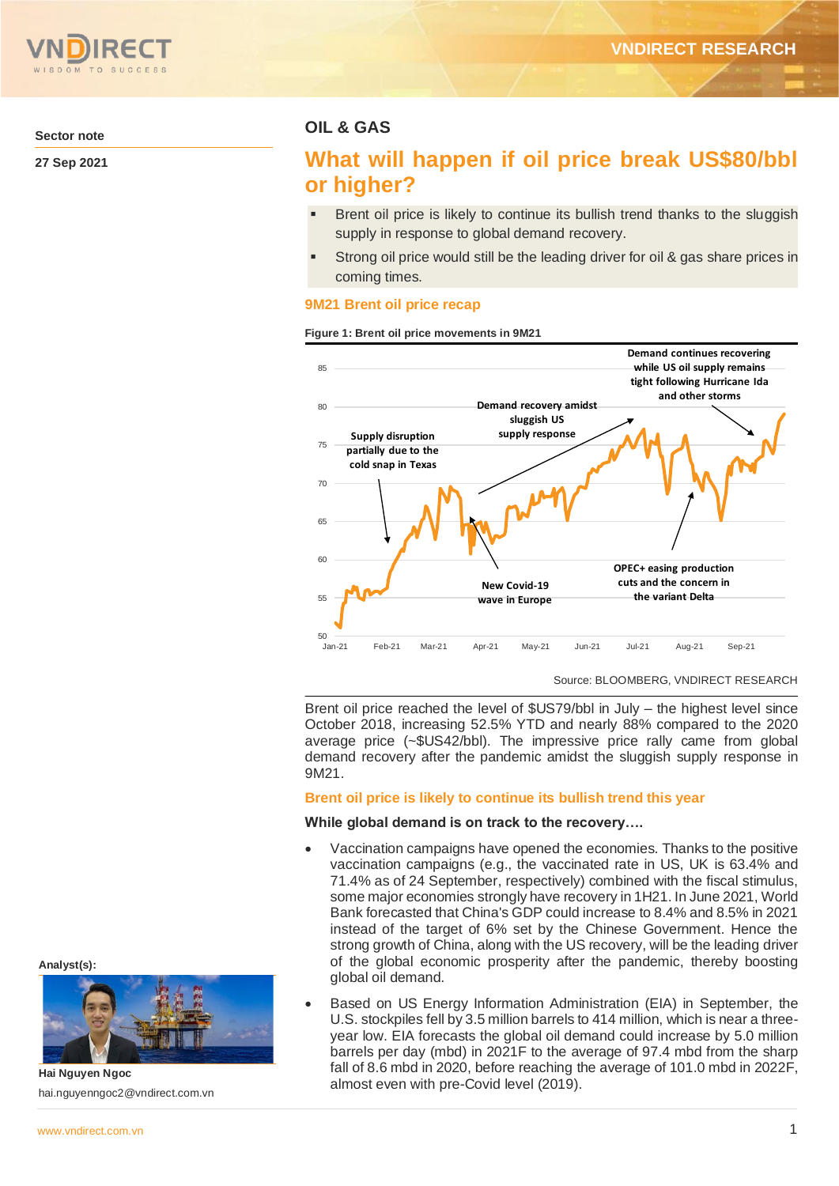

**Sector note**

**27 Sep 2021**

# **OIL & GAS**

# **What will happen if oil price break US\$80/bbl or higher?**

- Brent oil price is likely to continue its bullish trend thanks to the sluggish supply in response to global demand recovery.
- Strong oil price would still be the leading driver for oil & gas share prices in coming times.

## **9M21 Brent oil price recap**

#### **Figure 1: Brent oil price movements in 9M21**



Source: BLOOMBERG, VNDIRECT RESEARCH

Brent oil price reached the level of \$US79/bbl in July – the highest level since October 2018, increasing 52.5% YTD and nearly 88% compared to the 2020 average price (~\$US42/bbl). The impressive price rally came from global demand recovery after the pandemic amidst the sluggish supply response in 9M21.

#### **Brent oil price is likely to continue its bullish trend this year**

### **While global demand is on track to the recovery….**

- Vaccination campaigns have opened the economies. Thanks to the positive vaccination campaigns (e.g., the vaccinated rate in US, UK is 63.4% and 71.4% as of 24 September, respectively) combined with the fiscal stimulus, some major economies strongly have recovery in 1H21. In June 2021, World Bank forecasted that China's GDP could increase to 8.4% and 8.5% in 2021 instead of the target of 6% set by the Chinese Government. Hence the strong growth of China, along with the US recovery, will be the leading driver of the global economic prosperity after the pandemic, thereby boosting global oil demand.
- Based on US Energy Information Administration (EIA) in September, the U.S. stockpiles fell by 3.5 million barrels to 414 million, which is near a threeyear low. EIA forecasts the global oil demand could increase by 5.0 million barrels per day (mbd) in 2021F to the average of 97.4 mbd from the sharp fall of 8.6 mbd in 2020, before reaching the average of 101.0 mbd in 2022F, almost even with pre-Covid level (2019).

**Analyst(s):**



hai.nguyenngoc2@vndirect.com.vn

**Hai Nguyen Ngoc**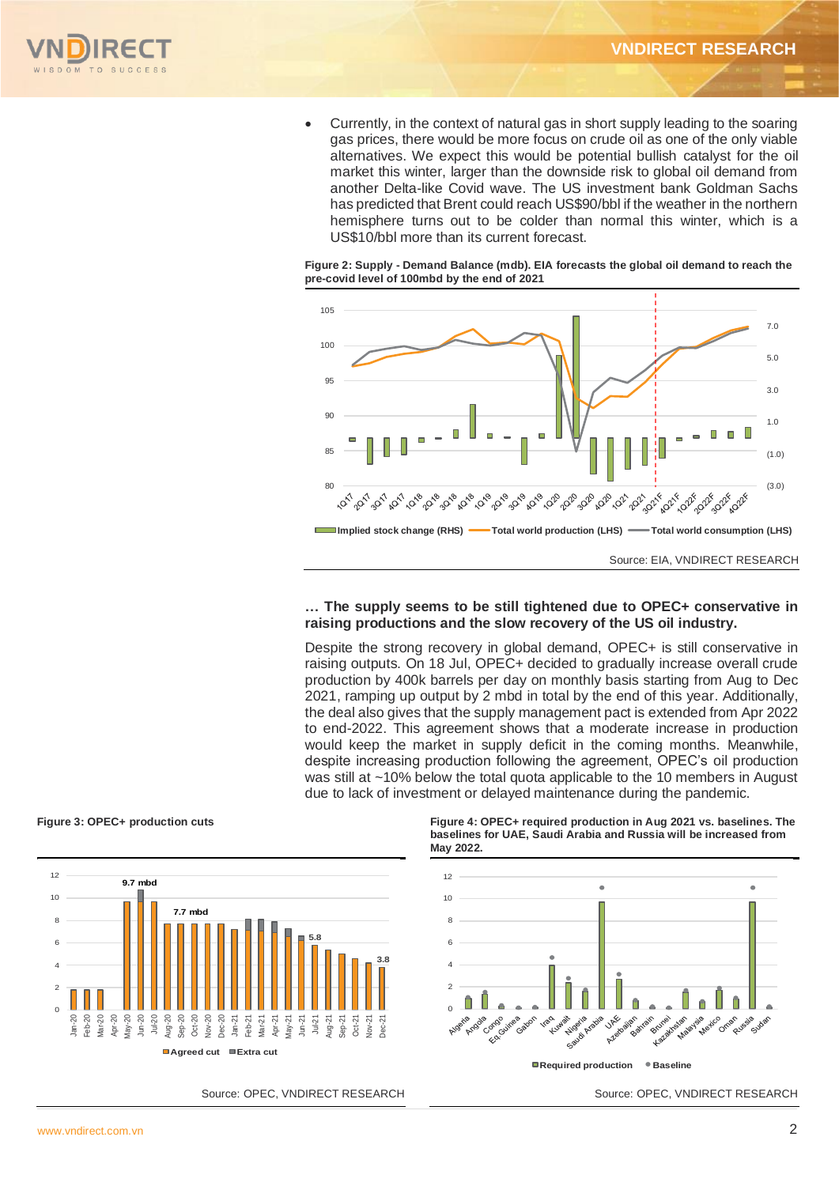

• Currently, in the context of natural gas in short supply leading to the soaring gas prices, there would be more focus on crude oil as one of the only viable alternatives. We expect this would be potential bullish catalyst for the oil market this winter, larger than the downside risk to global oil demand from another Delta-like Covid wave. The US investment bank Goldman Sachs has predicted that Brent could reach US\$90/bbl if the weather in the northern hemisphere turns out to be colder than normal this winter, which is a US\$10/bbl more than its current forecast.

#### **Figure 2: Supply - Demand Balance (mdb). EIA forecasts the global oil demand to reach the pre-covid level of 100mbd by the end of 2021**



### **… The supply seems to be still tightened due to OPEC+ conservative in raising productions and the slow recovery of the US oil industry.**

Despite the strong recovery in global demand, OPEC+ is still conservative in raising outputs. On 18 Jul, OPEC+ decided to gradually increase overall crude production by 400k barrels per day on monthly basis starting from Aug to Dec 2021, ramping up output by 2 mbd in total by the end of this year. Additionally, the deal also gives that the supply management pact is extended from Apr 2022 to end-2022. This agreement shows that a moderate increase in production would keep the market in supply deficit in the coming months. Meanwhile, despite increasing production following the agreement, OPEC's oil production was still at ~10% below the total quota applicable to the 10 members in August due to lack of investment or delayed maintenance during the pandemic.





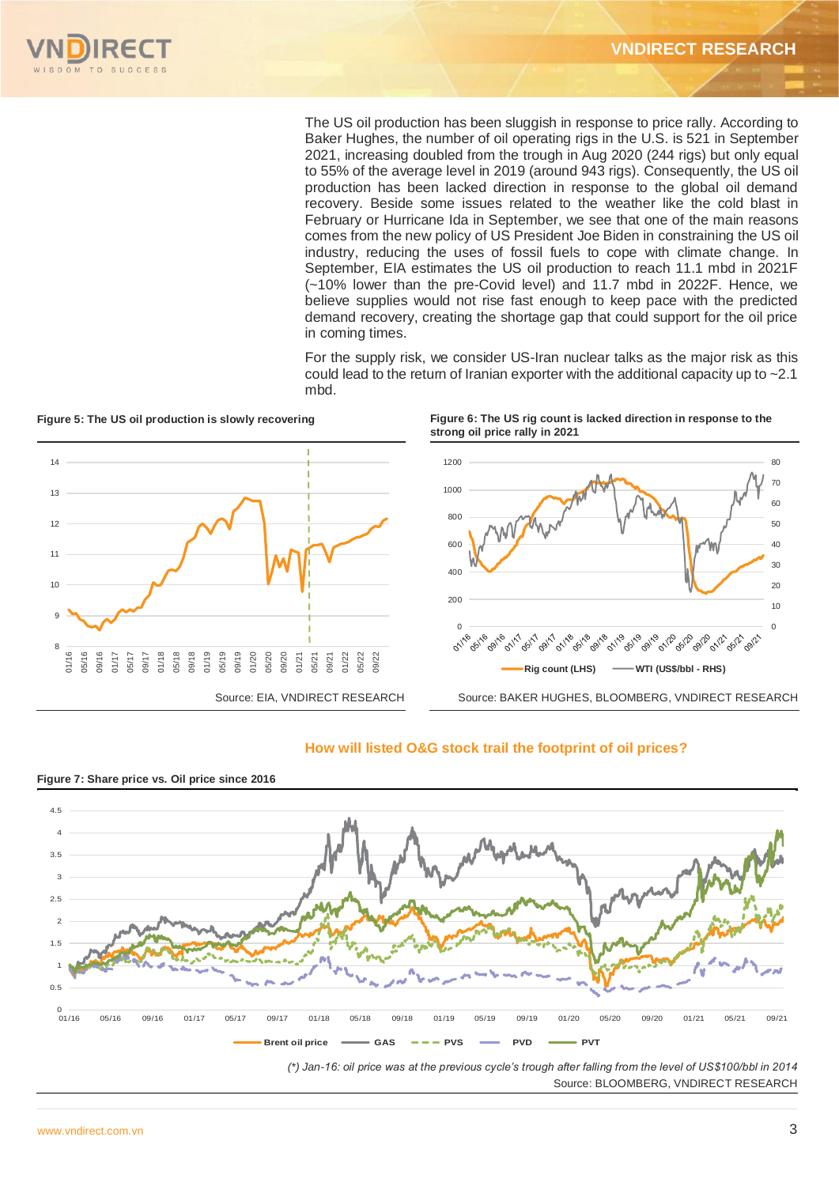

The US oil production has been sluggish in response to price rally. According to Baker Hughes, the number of oil operating rigs in the U.S. is 521 in September 2021, increasing doubled from the trough in Aug 2020 (244 rigs) but only equal to 55% of the average level in 2019 (around 943 rigs). Consequently, the US oil production has been lacked direction in response to the global oil demand recovery. Beside some issues related to the weather like the cold blast in February or Hurricane Ida in September, we see that one of the main reasons comes from the new policy of US President Joe Biden in constraining the US oil industry, reducing the uses of fossil fuels to cope with climate change. In September, EIA estimates the US oil production to reach 11.1 mbd in 2021F (~10% lower than the pre-Covid level) and 11.7 mbd in 2022F. Hence, we believe supplies would not rise fast enough to keep pace with the predicted demand recovery, creating the shortage gap that could support for the oil price in coming times.

For the supply risk, we consider US-Iran nuclear talks as the major risk as this could lead to the return of Iranian exporter with the additional capacity up to ~2.1 mbd.



**Figure 5: The US oil production is slowly recovering Figure 6: The US rig count is lacked direction in response to the strong oil price rally in 2021**



## **How will listed O&G stock trail the footprint of oil prices?**



*(\*) Jan-16: oil price was at the previous cycle's trough after falling from the level of US\$100/bbl in 2014*  Source: BLOOMBERG, VNDIRECT RESEARCH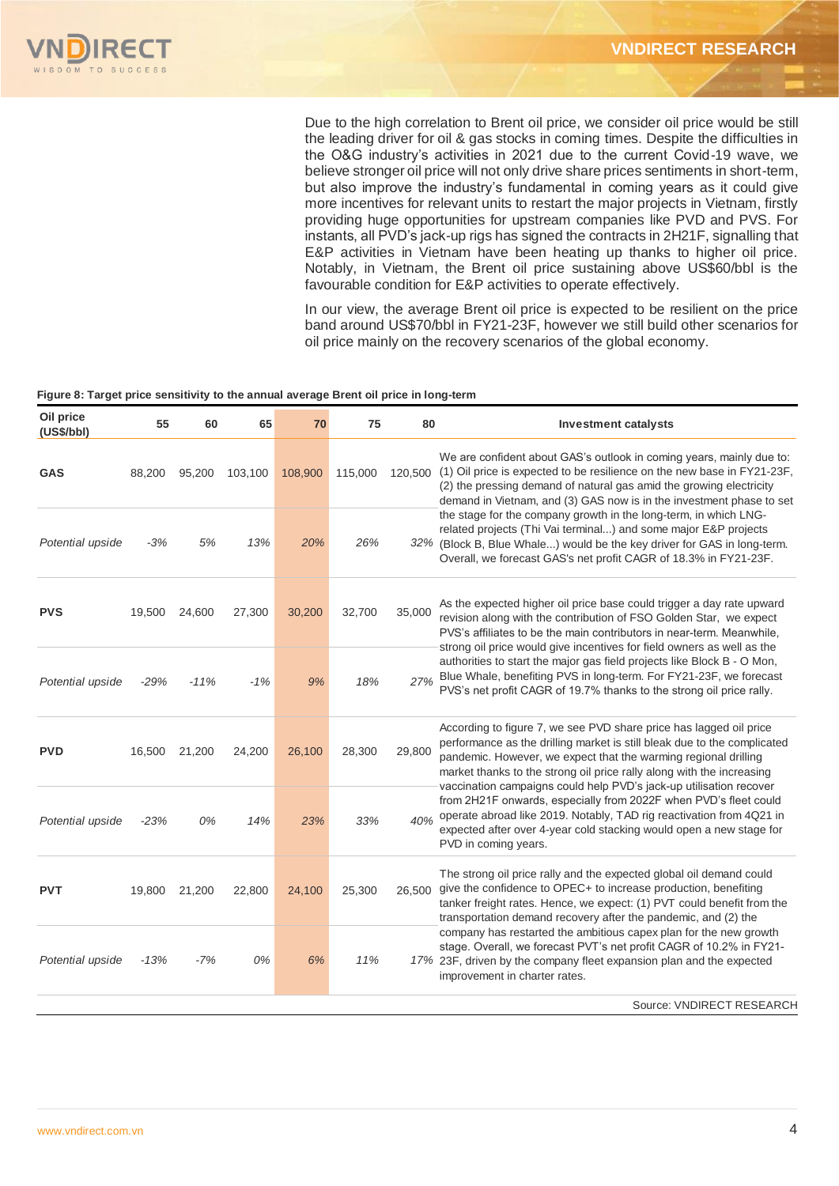Due to the high correlation to Brent oil price, we consider oil price would be still the leading driver for oil & gas stocks in coming times. Despite the difficulties in the O&G industry's activities in 2021 due to the current Covid-19 wave, we believe stronger oil price will not only drive share prices sentiments in short-term, but also improve the industry's fundamental in coming years as it could give more incentives for relevant units to restart the major projects in Vietnam, firstly providing huge opportunities for upstream companies like PVD and PVS. For instants, all PVD's jack-up rigs has signed the contracts in 2H21F, signalling that E&P activities in Vietnam have been heating up thanks to higher oil price. Notably, in Vietnam, the Brent oil price sustaining above US\$60/bbl is the favourable condition for E&P activities to operate effectively.

In our view, the average Brent oil price is expected to be resilient on the price band around US\$70/bbl in FY21-23F, however we still build other scenarios for oil price mainly on the recovery scenarios of the global economy.

#### **Figure 8: Target price sensitivity to the annual average Brent oil price in long-term**

| Oil price<br>(US\$/bbI) | 55     | 60            | 65      | 70      | 75      | 80      | <b>Investment catalysts</b>                                                                                                                                                                                                                                                                                                                                                                                                                                                                                                                                                                                 |
|-------------------------|--------|---------------|---------|---------|---------|---------|-------------------------------------------------------------------------------------------------------------------------------------------------------------------------------------------------------------------------------------------------------------------------------------------------------------------------------------------------------------------------------------------------------------------------------------------------------------------------------------------------------------------------------------------------------------------------------------------------------------|
| <b>GAS</b>              | 88,200 | 95,200        | 103,100 | 108,900 | 115,000 | 120,500 | We are confident about GAS's outlook in coming years, mainly due to:<br>(1) Oil price is expected to be resilience on the new base in FY21-23F,<br>(2) the pressing demand of natural gas amid the growing electricity<br>demand in Vietnam, and (3) GAS now is in the investment phase to set                                                                                                                                                                                                                                                                                                              |
| Potential upside        | $-3%$  | 5%            | 13%     | 20%     | 26%     |         | the stage for the company growth in the long-term, in which LNG-<br>related projects (Thi Vai terminal) and some major E&P projects<br>32% (Block B, Blue Whale) would be the key driver for GAS in long-term.<br>Overall, we forecast GAS's net profit CAGR of 18.3% in FY21-23F.                                                                                                                                                                                                                                                                                                                          |
| <b>PVS</b>              | 19,500 | 24,600        | 27,300  | 30,200  | 32,700  | 35,000  | As the expected higher oil price base could trigger a day rate upward<br>revision along with the contribution of FSO Golden Star, we expect<br>PVS's affiliates to be the main contributors in near-term. Meanwhile,<br>strong oil price would give incentives for field owners as well as the<br>authorities to start the major gas field projects like Block B - O Mon,<br>Blue Whale, benefiting PVS in long-term. For FY21-23F, we forecast<br>PVS's net profit CAGR of 19.7% thanks to the strong oil price rally.                                                                                     |
| Potential upside        | $-29%$ | $-11%$        | $-1%$   | 9%      | 18%     | 27%     |                                                                                                                                                                                                                                                                                                                                                                                                                                                                                                                                                                                                             |
| <b>PVD</b>              | 16,500 | 21,200        | 24,200  | 26,100  | 28,300  | 29,800  | According to figure 7, we see PVD share price has lagged oil price<br>performance as the drilling market is still bleak due to the complicated<br>pandemic. However, we expect that the warming regional drilling<br>market thanks to the strong oil price rally along with the increasing<br>vaccination campaigns could help PVD's jack-up utilisation recover<br>from 2H21F onwards, especially from 2022F when PVD's fleet could<br>operate abroad like 2019. Notably, TAD rig reactivation from 4Q21 in<br>expected after over 4-year cold stacking would open a new stage for<br>PVD in coming years. |
| Potential upside        | $-23%$ | 0%            | 14%     | 23%     | 33%     | 40%     |                                                                                                                                                                                                                                                                                                                                                                                                                                                                                                                                                                                                             |
| <b>PVT</b>              |        | 19,800 21,200 | 22,800  | 24,100  | 25,300  | 26.500  | The strong oil price rally and the expected global oil demand could<br>give the confidence to OPEC+ to increase production, benefiting<br>tanker freight rates. Hence, we expect: (1) PVT could benefit from the<br>transportation demand recovery after the pandemic, and (2) the                                                                                                                                                                                                                                                                                                                          |
| Potential upside        | $-13%$ | $-7%$         | 0%      | 6%      | 11%     |         | company has restarted the ambitious capex plan for the new growth<br>stage. Overall, we forecast PVT's net profit CAGR of 10.2% in FY21-<br>17% 23F, driven by the company fleet expansion plan and the expected<br>improvement in charter rates.                                                                                                                                                                                                                                                                                                                                                           |
|                         |        |               |         |         |         |         | COUTOO: VAINIDECT DECEADCL                                                                                                                                                                                                                                                                                                                                                                                                                                                                                                                                                                                  |

Source: VNDIRECT RESEARCH